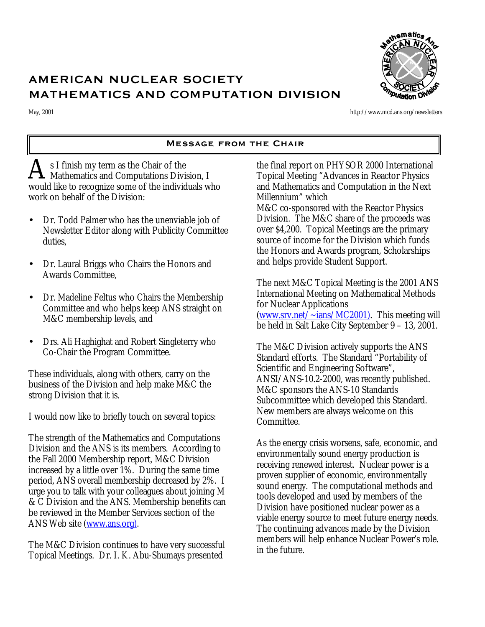

# AMERICAN NUCLEAR SOCIETY MATHEMATICS AND COMPUTATION DIVISION

May, 2001 http://www.mcd.ans.org/newsletters

# Message from the Chair

s I finish my term as the Chair of the A s I finish my term as the Chair of the<br>Mathematics and Computations Division, I would like to recognize some of the individuals who work on behalf of the Division:

- Dr. Todd Palmer who has the unenviable job of Newsletter Editor along with Publicity Committee duties,
- Dr. Laural Briggs who Chairs the Honors and Awards Committee,
- Dr. Madeline Feltus who Chairs the Membership Committee and who helps keep ANS straight on M&C membership levels, and
- Drs. Ali Haghighat and Robert Singleterry who Co-Chair the Program Committee.

These individuals, along with others, carry on the business of the Division and help make M&C the strong Division that it is.

I would now like to briefly touch on several topics:

The strength of the Mathematics and Computations Division and the ANS is its members. According to the Fall 2000 Membership report, M&C Division increased by a little over 1%. During the same time period, ANS overall membership decreased by 2%. I urge you to talk with your colleagues about joining M & C Division and the ANS. Membership benefits can be reviewed in the Member Services section of the ANS Web site (www.ans.org).

The M&C Division continues to have very successful Topical Meetings. Dr. I. K. Abu-Shumays presented

the final report on PHYSOR 2000 International Topical Meeting "Advances in Reactor Physics and Mathematics and Computation in the Next Millennium" which M&C co-sponsored with the Reactor Physics Division. The M&C share of the proceeds was over \$4,200. Topical Meetings are the primary source of income for the Division which funds the Honors and Awards program, Scholarships and helps provide Student Support.

The next M&C Topical Meeting is the 2001 ANS International Meeting on Mathematical Methods for Nuclear Applications (www.srv.net/~ians/MC2001). This meeting will be held in Salt Lake City September 9 – 13, 2001.

The M&C Division actively supports the ANS Standard efforts. The Standard "Portability of Scientific and Engineering Software", ANSI/ANS-10.2-2000, was recently published. M&C sponsors the ANS-10 Standards Subcommittee which developed this Standard. New members are always welcome on this Committee.

As the energy crisis worsens, safe, economic, and environmentally sound energy production is receiving renewed interest. Nuclear power is a proven supplier of economic, environmentally sound energy. The computational methods and tools developed and used by members of the Division have positioned nuclear power as a viable energy source to meet future energy needs. The continuing advances made by the Division members will help enhance Nuclear Power's role. in the future.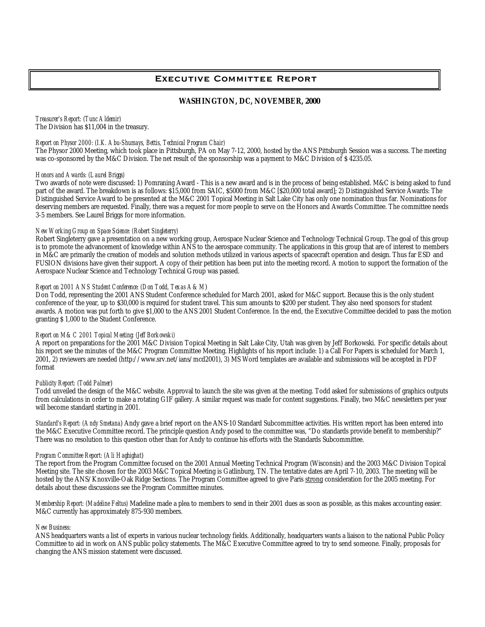# Executive Committee Report

# **WASHINGTON, DC, NOVEMBER, 2000**

*Treasurer's Report: (Tunc Aldemir)* The Division has \$11,004 in the treasury.

# *Report on Physor 2000: (I.K. Abu-Shumays, Bettis, Technical Program Chair)*

The Physor 2000 Meeting, which took place in Pittsburgh, PA on May 7-12, 2000, hosted by the ANS Pittsburgh Session was a success. The meeting was co-sponsored by the M&C Division. The net result of the sponsorship was a payment to M&C Division of \$ 4235.05.

#### *Honors and Awards: (Laurel Briggs)*

Two awards of note were discussed: 1) Pomraning Award - This is a new award and is in the process of being established. M&C is being asked to fund part of the award. The breakdown is as follows: \$15,000 from SAIC, \$5000 from M&C [\$20,000 total award]; 2) Distinguished Service Awards: The Distinguished Service Award to be presented at the M&C 2001 Topical Meeting in Salt Lake City has only one nomination thus far. Nominations for deserving members are requested. Finally, there was a request for more people to serve on the Honors and Awards Committee. The committee needs 3-5 members. See Laurel Briggs for more information.

#### *New Working Group on Space Science: (Robert Singleterry)*

Robert Singleterry gave a presentation on a new working group, Aerospace Nuclear Science and Technology Technical Group. The goal of this group is to promote the advancement of knowledge within ANS to the aerospace community. The applications in this group that are of interest to members in M&C are primarily the creation of models and solution methods utilized in various aspects of spacecraft operation and design. Thus far ESD and FUSION divisions have given their support. A copy of their petition has been put into the meeting record. A motion to support the formation of the Aerospace Nuclear Science and Technology Technical Group was passed.

#### *Report on 2001 ANS Student Conference: (Don Todd, Texas A&M*)

Don Todd, representing the 2001 ANS Student Conference scheduled for March 2001, asked for M&C support. Because this is the only student conference of the year, up to \$30,000 is required for student travel. This sum amounts to \$200 per student. They also need sponsors for student awards. A motion was put forth to give \$1,000 to the ANS 2001 Student Conference. In the end, the Executive Committee decided to pass the motion granting \$ 1,000 to the Student Conference.

#### *Report on M&C 2001 Topical Meeting: (Jeff Borkowski)*

A report on preparations for the 2001 M&C Division Topical Meeting in Salt Lake City, Utah was given by Jeff Borkowski. For specific details about his report see the minutes of the M&C Program Committee Meeting. Highlights of his report include: 1) a Call For Papers is scheduled for March 1, 2001, 2) reviewers are needed (http://www.srv.net/ians/mcd2001), 3) MS Word templates are available and submissions will be accepted in PDF format

#### *Publicity Report: (Todd Palmer*)

Todd unveiled the design of the M&C website. Approval to launch the site was given at the meeting. Todd asked for submissions of graphics outputs from calculations in order to make a rotating GIF gallery. A similar request was made for content suggestions. Finally, two M&C newsletters per year will become standard starting in 2001.

*Standard's Report: (Andy Smetana*) Andy gave a brief report on the ANS-10 Standard Subcommittee activities. His written report has been entered into the M&C Executive Committee record. The principle question Andy posed to the committee was, "Do standards provide benefit to membership?" There was no resolution to this question other than for Andy to continue his efforts with the Standards Subcommittee.

#### *Program Committee Report: (Ali Haghighat*)

The report from the Program Committee focused on the 2001 Annual Meeting Technical Program (Wisconsin) and the 2003 M&C Division Topical Meeting site. The site chosen for the 2003 M&C Topical Meeting is Gatlinburg, TN. The tentative dates are April 7-10, 2003. The meeting will be hosted by the ANS/Knoxville-Oak Ridge Sections. The Program Committee agreed to give Paris strong consideration for the 2005 meeting. For details about these discussions see the Program Committee minutes.

*Membership Report: (Madeline Feltus)* Madeline made a plea to members to send in their 2001 dues as soon as possible, as this makes accounting easier. M&C currently has approximately 875-930 members.

#### *New Business*:

ANS headquarters wants a list of experts in various nuclear technology fields. Additionally, headquarters wants a liaison to the national Public Policy Committee to aid in work on ANS public policy statements. The M&C Executive Committee agreed to try to send someone. Finally, proposals for changing the ANS mission statement were discussed.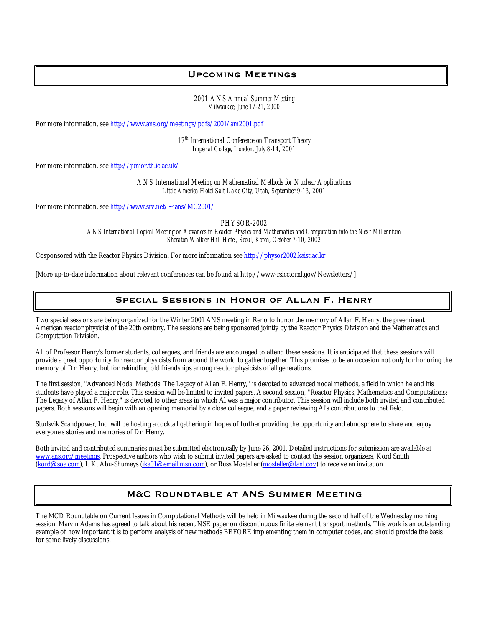# Upcoming Meetings

*2001 ANS Annual Summer Meeting Milwaukee, June 17-21, 2000*

For more information, see http://www.ans.org/meetings/pdfs/2001/am2001.pdf

*17th International Conference on Transport Theory Imperial College, London, July 8-14, 2001*

For more information, see http://junior.th.ic.ac.uk/

*ANS International Meeting on Mathematical Methods for Nuclear Applications Little America Hotel Salt Lake City, Utah, September 9-13, 2001*

For more information, see http://www.srv.net/~ians/MC2001/

*PHYSOR-2002*

*ANS International Topical Meeting on Advances in Reactor Physics and Mathematics and Computation into the Next Millennium Sheraton Walker Hill Hotel, Seoul, Korea, October 7-10, 2002*

Cosponsored with the Reactor Physics Division. For more information see http://physor2002.kaist.ac.kr

[More up-to-date information about relevant conferences can be found at http://www-rsicc.ornl.gov/Newsletters/]

# Special Sessions in Honor of Allan F. Henry

Two special sessions are being organized for the Winter 2001 ANS meeting in Reno to honor the memory of Allan F. Henry, the preeminent American reactor physicist of the 20th century. The sessions are being sponsored jointly by the Reactor Physics Division and the Mathematics and Computation Division.

All of Professor Henry's former students, colleagues, and friends are encouraged to attend these sessions. It is anticipated that these sessions will provide a great opportunity for reactor physicists from around the world to gather together. This promises to be an occasion not only for honoring the memory of Dr. Henry, but for rekindling old friendships among reactor physicists of all generations.

The first session, "Advanced Nodal Methods: The Legacy of Allan F. Henry," is devoted to advanced nodal methods, a field in which he and his students have played a major role. This session will be limited to invited papers. A second session, "Reactor Physics, Mathematics and Computations: The Legacy of Allan F. Henry," is devoted to other areas in which Al was a major contributor. This session will include both invited and contributed papers. Both sessions will begin with an opening memorial by a close colleague, and a paper reviewing Al's contributions to that field.

Studsvik Scandpower, Inc. will be hosting a cocktail gathering in hopes of further providing the opportunity and atmosphere to share and enjoy everyone's stories and memories of Dr. Henry.

Both invited and contributed summaries must be submitted electronically by June 26, 2001. Detailed instructions for submission are available at www.ans.org/meetings. Prospective authors who wish to submit invited papers are asked to contact the session organizers, Kord Smith (kord@soa.com), I. K. Abu-Shumays (ika01@email.msn.com), or Russ Mosteller (mosteller@lanl.gov) to receive an invitation.

# M&C Roundtable at ANS Summer Meeting

The MCD Roundtable on Current Issues in Computational Methods will be held in Milwaukee during the second half of the Wednesday morning session. Marvin Adams has agreed to talk about his recent NSE paper on discontinuous finite element transport methods. This work is an outstanding example of how important it is to perform analysis of new methods BEFORE implementing them in computer codes, and should provide the basis for some lively discussions.